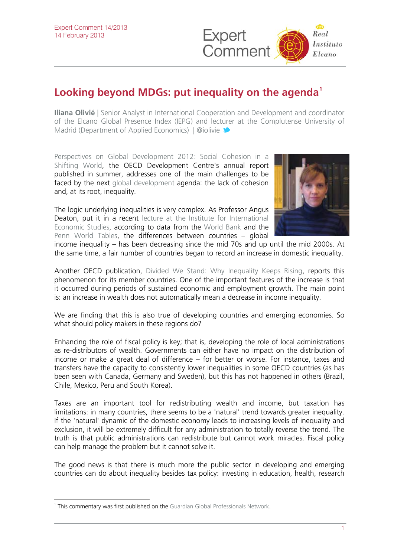

## **Looking beyond MDGs: put inequality on the agenda[1](#page-0-0)**

**Iliana Olivié** | Senior Analyst in International Cooperation and Development and coordinator of the [Elcano Global Presence Index \(IEPG\)](http://www.iepg.es/?lang=en) and lec[ture](http://twitter.com/iolivie)r at the Complutense University of Madrid (Department of Applied Economics) | @iolivie

[Perspectives on Global Development 2012: Social Cohesion in a](http://www.oecd.org/site/devpgd2012/)  [Shifting World](http://www.oecd.org/site/devpgd2012/), the OECD Development Centre's annual report published in summer, addresses one of the main challenges to be faced by the next [global development](http://www.guardian.co.uk/global-development) agenda: the lack of cohesion and, at its root, inequality.

The logic underlying inequalities is very complex. As Professor Angus Deaton, put it in a recent [lecture at the Institute for International](http://urplay.se/172262)  [Economic Studies](http://urplay.se/172262), according to data from the [World Bank](http://www.worldbank.org/) and the [Penn World Tables](https://pwt.sas.upenn.edu/), the differences between countries – global



income inequality – has been decreasing since the mid 70s and up until the mid 2000s. At the same time, a fair number of countries began to record an increase in domestic inequality.

Another OECD publication, [Divided We Stand: Why Inequality Keeps Rising](http://www.oecd.org/els/socialpoliciesanddata/dividedwestandwhyinequalitykeepsrising.htm), reports this phenomenon for its member countries. One of the important features of the increase is that it occurred during periods of sustained economic and employment growth. The main point is: an increase in wealth does not automatically mean a decrease in income inequality.

We are finding that this is also true of developing countries and emerging economies. So what should policy makers in these regions do?

Enhancing the role of fiscal policy is key; that is, developing the role of local administrations as re-distributors of wealth. Governments can either have no impact on the distribution of income or make a great deal of difference – for better or worse. For instance, taxes and transfers have the capacity to consistently lower inequalities in some OECD countries (as has been seen with Canada, Germany and Sweden), but this has not happened in others (Brazil, Chile, Mexico, Peru and South Korea).

Taxes are an important tool for redistributing wealth and income, but taxation has limitations: in many countries, there seems to be a 'natural' trend towards greater inequality. If the 'natural' dynamic of the domestic economy leads to increasing levels of inequality and exclusion, it will be extremely difficult for any administration to totally reverse the trend. The truth is that public administrations can redistribute but cannot work miracles. Fiscal policy can help manage the problem but it cannot solve it.

The good news is that there is much more the public sector in developing and emerging countries can do about inequality besides tax policy: investing in education, health, research

 $\overline{a}$ 

<span id="page-0-0"></span><sup>&</sup>lt;sup>1</sup> This commentary was first published on the [Guardian Global Professionals Network.](http://www.guardian.co.uk/global-development-professionals-network/2012/dec/10/inequality-post-2015-agenda)